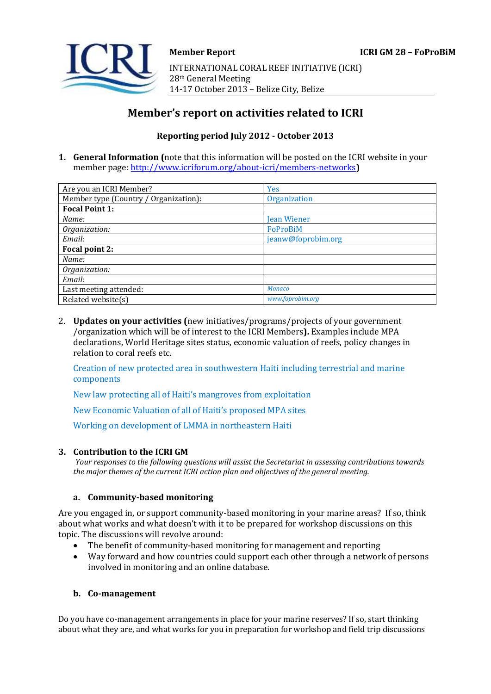# **Member's report on activities related to ICRI**

## **Reporting period July 2012 - October 2013**

**1. General Information (**note that this information will be posted on the ICRI website in your member page[: http://www.icriforum.org/about-icri/members-networks](http://www.icriforum.org/about-icri/members-networks)**)** 

| Are you an ICRI Member?               | <b>Yes</b>         |
|---------------------------------------|--------------------|
| Member type (Country / Organization): | Organization       |
| <b>Focal Point 1:</b>                 |                    |
| Name:                                 | Jean Wiener        |
| Organization:                         | FoProBiM           |
| Email:                                | jeanw@foprobim.org |
| Focal point 2:                        |                    |
| Name:                                 |                    |
| Organization:                         |                    |
| Email:                                |                    |
| Last meeting attended:                | <b>Monaco</b>      |
| Related website(s)                    | www.foprobim.org   |

2. **Updates on your activities (**new initiatives/programs/projects of your government /organization which will be of interest to the ICRI Members**).** Examples include MPA declarations, World Heritage sites status, economic valuation of reefs, policy changes in relation to coral reefs etc.

Creation of new protected area in southwestern Haiti including terrestrial and marine components

New law protecting all of Haiti's mangroves from exploitation

New Economic Valuation of all of Haiti's proposed MPA sites

Working on development of LMMA in northeastern Haiti

#### **3. Contribution to the ICRI GM**

*Your responses to the following questions will assist the Secretariat in assessing contributions towards the major themes of the current ICRI action plan and objectives of the general meeting.*

#### **a. Community-based monitoring**

Are you engaged in, or support community-based monitoring in your marine areas? If so, think about what works and what doesn't with it to be prepared for workshop discussions on this topic. The discussions will revolve around:

- The benefit of community-based monitoring for management and reporting
- Way forward and how countries could support each other through a network of persons involved in monitoring and an online database.

#### **b. Co-management**

Do you have co-management arrangements in place for your marine reserves? If so, start thinking about what they are, and what works for you in preparation for workshop and field trip discussions